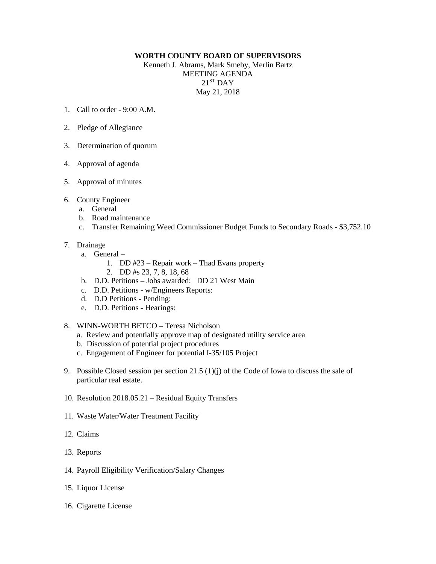## **WORTH COUNTY BOARD OF SUPERVISORS**

Kenneth J. Abrams, Mark Smeby, Merlin Bartz MEETING AGENDA  $21<sup>ST</sup>$  DAY May 21, 2018

- 1. Call to order 9:00 A.M.
- 2. Pledge of Allegiance
- 3. Determination of quorum
- 4. Approval of agenda
- 5. Approval of minutes
- 6. County Engineer
	- a. General
	- b. Road maintenance
	- c. Transfer Remaining Weed Commissioner Budget Funds to Secondary Roads \$3,752.10
- 7. Drainage
	- a. General
		- 1. DD #23 Repair work Thad Evans property
		- 2. DD #s 23, 7, 8, 18, 68
	- b. D.D. Petitions Jobs awarded: DD 21 West Main
	- c. D.D. Petitions w/Engineers Reports:
	- d. D.D Petitions Pending:
	- e. D.D. Petitions Hearings:
- 8. WINN-WORTH BETCO Teresa Nicholson
	- a. Review and potentially approve map of designated utility service area
	- b. Discussion of potential project procedures
	- c. Engagement of Engineer for potential I-35/105 Project
- 9. Possible Closed session per section 21.5 (1)(j) of the Code of Iowa to discuss the sale of particular real estate.
- 10. Resolution 2018.05.21 Residual Equity Transfers
- 11. Waste Water/Water Treatment Facility
- 12. Claims
- 13. Reports
- 14. Payroll Eligibility Verification/Salary Changes
- 15. Liquor License
- 16. Cigarette License